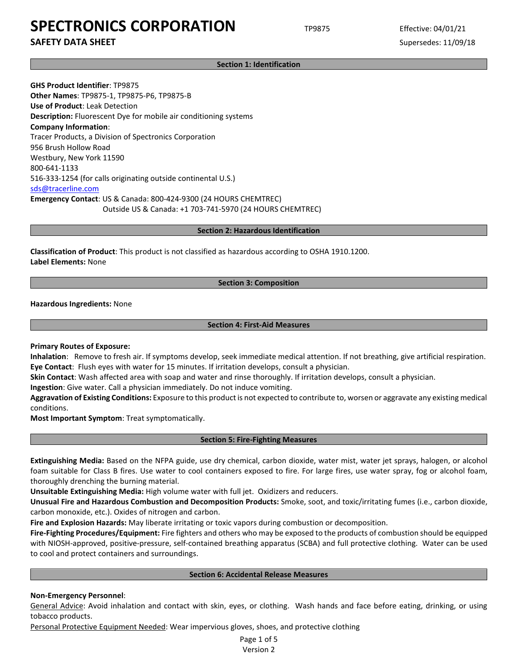**SAFETY DATA SHEET** SUPERFOUR SUPERFOUR SUPERFOUR SUPERFOUR SUPERFOUR SUPERFOUR SUPERFOUR SUPERFOUR SUPERFOUR SUPERFOUR SUPERFOUR SUPERFOUR SUPERFOUR SUPERFOUR SUPERFOUR SUPERFOUR SUPERFOUR SUPERFOUR SUPERFOUR SUPERFOUR SU

**Section 1: Identification**

**GHS Product Identifier**: TP9875 **Other Names**: TP9875-1, TP9875-P6, TP9875-B **Use of Product**: Leak Detection **Description:** Fluorescent Dye for mobile air conditioning systems **Company Information**: Tracer Products, a Division of Spectronics Corporation 956 Brush Hollow Road Westbury, New York 11590 800-641-1133 516-333-1254 (for calls originating outside continental U.S.) [sds@tracerline.com](mailto:sds@tracerline.com) **Emergency Contact**: US & Canada: 800-424-9300 (24 HOURS CHEMTREC) Outside US & Canada: +1 703-741-5970 (24 HOURS CHEMTREC)

**Section 2: Hazardous Identification**

**Classification of Product**: This product is not classified as hazardous according to OSHA 1910.1200. **Label Elements:** None

### **Section 3: Composition**

**Hazardous Ingredients:** None

### **Section 4: First-Aid Measures**

**Primary Routes of Exposure:**

**Inhalation**: Remove to fresh air. If symptoms develop, seek immediate medical attention. If not breathing, give artificial respiration. **Eye Contact**: Flush eyes with water for 15 minutes. If irritation develops, consult a physician.

**Skin Contact**: Wash affected area with soap and water and rinse thoroughly. If irritation develops, consult a physician.

**Ingestion**: Give water. Call a physician immediately. Do not induce vomiting.

**Aggravation of Existing Conditions:** Exposure to this product is not expected to contribute to, worsen or aggravate any existing medical conditions.

**Most Important Symptom**: Treat symptomatically.

#### **Section 5: Fire-Fighting Measures**

**Extinguishing Media:** Based on the NFPA guide, use dry chemical, carbon dioxide, water mist, water jet sprays, halogen, or alcohol foam suitable for Class B fires. Use water to cool containers exposed to fire. For large fires, use water spray, fog or alcohol foam, thoroughly drenching the burning material.

**Unsuitable Extinguishing Media:** High volume water with full jet. Oxidizers and reducers.

**Unusual Fire and Hazardous Combustion and Decomposition Products:** Smoke, soot, and toxic/irritating fumes (i.e., carbon dioxide, carbon monoxide, etc.). Oxides of nitrogen and carbon.

**Fire and Explosion Hazards:** May liberate irritating or toxic vapors during combustion or decomposition.

**Fire-Fighting Procedures/Equipment:** Fire fighters and others who may be exposed to the products of combustion should be equipped with NIOSH-approved, positive-pressure, self-contained breathing apparatus (SCBA) and full protective clothing. Water can be used to cool and protect containers and surroundings.

#### **Section 6: Accidental Release Measures**

## **Non-Emergency Personnel**:

General Advice: Avoid inhalation and contact with skin, eyes, or clothing. Wash hands and face before eating, drinking, or using tobacco products.

Personal Protective Equipment Needed: Wear impervious gloves, shoes, and protective clothing

Page 1 of 5 Version 2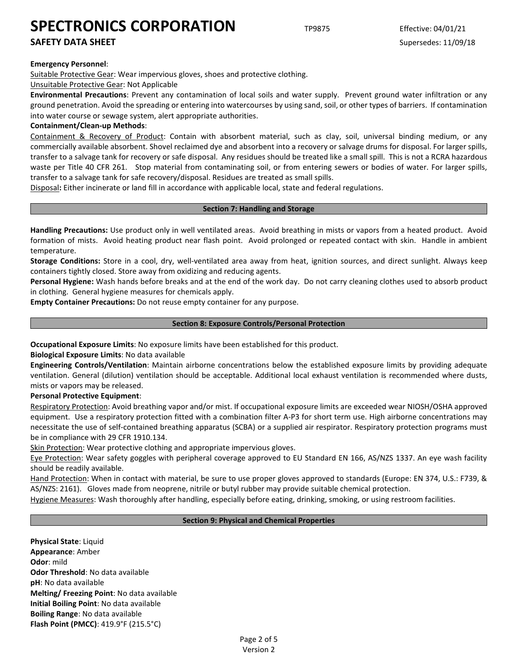## **SAFETY DATA SHEET** SUPERFOUR SUPERFOUR SUPERFOUR SUPERFOUR SUPERFOUR SUPERFOUR SUPERFOUR SUPERFOUR SUPERFOUR SUPERFOUR SUPERFOUR SUPERFOUR SUPERFOUR SUPERFOUR SUPERFOUR SUPERFOUR SUPERFOUR SUPERFOUR SUPERFOUR SUPERFOUR SU

### **Emergency Personnel**:

Suitable Protective Gear: Wear impervious gloves, shoes and protective clothing.

#### Unsuitable Protective Gear: Not Applicable

**Environmental Precautions**: Prevent any contamination of local soils and water supply. Prevent ground water infiltration or any ground penetration. Avoid the spreading or entering into watercourses by using sand, soil, or other types of barriers. If contamination into water course or sewage system, alert appropriate authorities.

### **Containment/Clean-up Methods**:

Containment & Recovery of Product: Contain with absorbent material, such as clay, soil, universal binding medium, or any commercially available absorbent. Shovel reclaimed dye and absorbent into a recovery or salvage drums for disposal. For larger spills, transfer to a salvage tank for recovery or safe disposal. Any residues should be treated like a small spill. This is not a RCRA hazardous waste per Title 40 CFR 261. Stop material from contaminating soil, or from entering sewers or bodies of water. For larger spills, transfer to a salvage tank for safe recovery/disposal. Residues are treated as small spills.

Disposal**:** Either incinerate or land fill in accordance with applicable local, state and federal regulations.

#### **Section 7: Handling and Storage**

**Handling Precautions:** Use product only in well ventilated areas. Avoid breathing in mists or vapors from a heated product. Avoid formation of mists. Avoid heating product near flash point. Avoid prolonged or repeated contact with skin. Handle in ambient temperature.

**Storage Conditions:** Store in a cool, dry, well-ventilated area away from heat, ignition sources, and direct sunlight. Always keep containers tightly closed. Store away from oxidizing and reducing agents.

**Personal Hygiene:** Wash hands before breaks and at the end of the work day. Do not carry cleaning clothes used to absorb product in clothing. General hygiene measures for chemicals apply.

**Empty Container Precautions:** Do not reuse empty container for any purpose.

### **Section 8: Exposure Controls/Personal Protection**

**Occupational Exposure Limits**: No exposure limits have been established for this product.

## **Biological Exposure Limits**: No data available

**Engineering Controls/Ventilation**: Maintain airborne concentrations below the established exposure limits by providing adequate ventilation. General (dilution) ventilation should be acceptable. Additional local exhaust ventilation is recommended where dusts, mists or vapors may be released.

#### **Personal Protective Equipment**:

Respiratory Protection: Avoid breathing vapor and/or mist. If occupational exposure limits are exceeded wear NIOSH/OSHA approved equipment. Use a respiratory protection fitted with a combination filter A-P3 for short term use. High airborne concentrations may necessitate the use of self-contained breathing apparatus (SCBA) or a supplied air respirator. Respiratory protection programs must be in compliance with 29 CFR 1910.134.

Skin Protection: Wear protective clothing and appropriate impervious gloves.

Eye Protection: Wear safety goggles with peripheral coverage approved to EU Standard EN 166, AS/NZS 1337. An eye wash facility should be readily available.

Hand Protection: When in contact with material, be sure to use proper gloves approved to standards (Europe: EN 374, U.S.: F739, & AS/NZS: 2161). Gloves made from neoprene, nitrile or butyl rubber may provide suitable chemical protection.

Hygiene Measures: Wash thoroughly after handling, especially before eating, drinking, smoking, or using restroom facilities.

## **Section 9: Physical and Chemical Properties**

**Physical State**: Liquid **Appearance**: Amber **Odor**: mild **Odor Threshold**: No data available **pH**: No data available **Melting/ Freezing Point**: No data available **Initial Boiling Point**: No data available **Boiling Range**: No data available **Flash Point (PMCC)**: 419.9°F (215.5°C)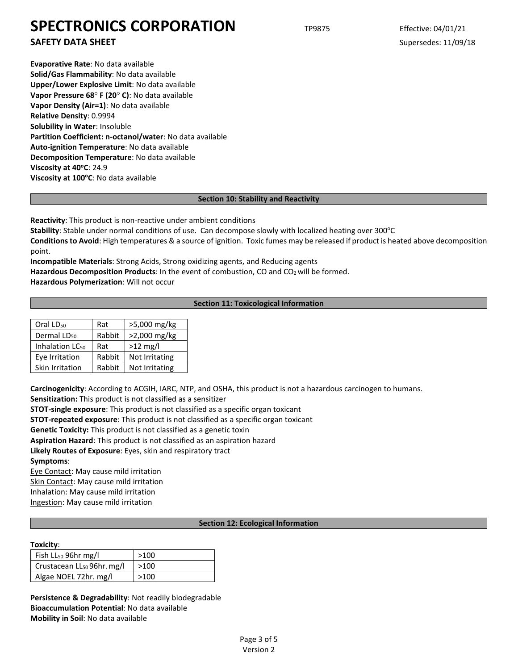**SAFETY DATA SHEET** SUPERFOUR SUPERFOUR SUPERFOUR SUPERFOUR SUPERFOUR SUPERFOUR SUPERFOUR SUPERFOUR SUPERFOUR SUPERFOUR SUPERFOUR SUPERFOUR SUPERFOUR SUPERFOUR SUPERFOUR SUPERFOUR SUPERFOUR SUPERFOUR SUPERFOUR SUPERFOUR SU

**Evaporative Rate**: No data available **Solid/Gas Flammability**: No data available **Upper/Lower Explosive Limit**: No data available **Vapor Pressure 68**° **F (20**° **C)**: No data available **Vapor Density (Air=1)**: No data available **Relative Density**: 0.9994 **Solubility in Water**: Insoluble **Partition Coefficient: n-octanol/water**: No data available **Auto-ignition Temperature**: No data available **Decomposition Temperature**: No data available **Viscosity at 40°C: 24.9 Viscosity at 100°C**: No data available

## **Section 10: Stability and Reactivity**

**Reactivity**: This product is non-reactive under ambient conditions

Stability: Stable under normal conditions of use. Can decompose slowly with localized heating over 300°C **Conditions to Avoid**: High temperatures & a source of ignition. Toxic fumes may be released if product is heated above decomposition point.

**Incompatible Materials**: Strong Acids, Strong oxidizing agents, and Reducing agents Hazardous Decomposition Products: In the event of combustion, CO and CO<sub>2</sub> will be formed.

**Hazardous Polymerization**: Will not occur

## **Section 11: Toxicological Information**

| Oral LD <sub>50</sub>       | Rat    | >5,000 mg/kg   |
|-----------------------------|--------|----------------|
| Dermal LD <sub>50</sub>     | Rabbit | >2,000 mg/kg   |
| Inhalation LC <sub>50</sub> | Rat    | $>12$ mg/l     |
| Eye Irritation              | Rabbit | Not Irritating |
| Skin Irritation             | Rabbit | Not Irritating |

**Carcinogenicity**: According to ACGIH, IARC, NTP, and OSHA, this product is not a hazardous carcinogen to humans. **Sensitization:** This product is not classified as a sensitizer

**STOT-single exposure**: This product is not classified as a specific organ toxicant

**STOT-repeated exposure**: This product is not classified as a specific organ toxicant

**Genetic Toxicity:** This product is not classified as a genetic toxin

**Aspiration Hazard**: This product is not classified as an aspiration hazard

**Likely Routes of Exposure**: Eyes, skin and respiratory tract

**Symptoms**:

Eye Contact: May cause mild irritation

Skin Contact: May cause mild irritation

Inhalation: May cause mild irritation

Ingestion: May cause mild irritation

## **Section 12: Ecological Information**

## **Toxicity**:

| Fish LL <sub>50</sub> 96hr mg/l        | >100 |
|----------------------------------------|------|
| Crustacean LL <sub>50</sub> 96hr. mg/l | >100 |
| Algae NOEL 72hr. mg/l                  | >100 |

**Persistence & Degradability**: Not readily biodegradable **Bioaccumulation Potential**: No data available **Mobility in Soil**: No data available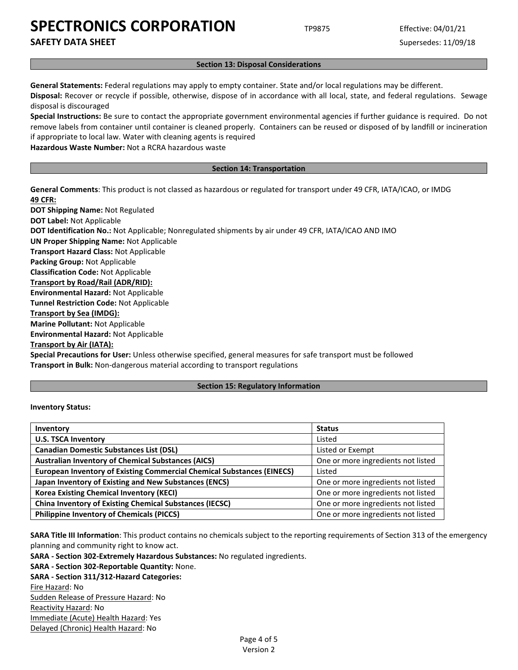**SAFETY DATA SHEET** SUPERFOUR SUPERFOUR SUPERFOUR SUPERFOUR SUPERFOUR SUPERFOUR SUPERFOUR SUPERFOUR SUPERFOUR SUPERFOUR SUPERFOUR SUPERFOUR SUPERFOUR SUPERFOUR SUPERFOUR SUPERFOUR SUPERFOUR SUPERFOUR SUPERFOUR SUPERFOUR SU

#### **Section 13: Disposal Considerations**

**General Statements:** Federal regulations may apply to empty container. State and/or local regulations may be different.

**Disposal:** Recover or recycle if possible, otherwise, dispose of in accordance with all local, state, and federal regulations. Sewage disposal is discouraged

**Special Instructions:** Be sure to contact the appropriate government environmental agencies if further guidance is required. Do not remove labels from container until container is cleaned properly. Containers can be reused or disposed of by landfill or incineration if appropriate to local law. Water with cleaning agents is required

**Hazardous Waste Number:** Not a RCRA hazardous waste

#### **Section 14: Transportation**

**General Comments**: This product is not classed as hazardous or regulated for transport under 49 CFR, IATA/ICAO, or IMDG **49 CFR:**

**DOT Shipping Name:** Not Regulated **DOT Label:** Not Applicable **DOT Identification No.:** Not Applicable; Nonregulated shipments by air under 49 CFR, IATA/ICAO AND IMO **UN Proper Shipping Name:** Not Applicable **Transport Hazard Class:** Not Applicable **Packing Group:** Not Applicable **Classification Code:** Not Applicable **Transport by Road/Rail (ADR/RID): Environmental Hazard:** Not Applicable **Tunnel Restriction Code:** Not Applicable **Transport by Sea (IMDG): Marine Pollutant:** Not Applicable **Environmental Hazard:** Not Applicable **Transport by Air (IATA):**

**Special Precautions for User:** Unless otherwise specified, general measures for safe transport must be followed **Transport in Bulk:** Non-dangerous material according to transport regulations

#### **Section 15: Regulatory Information**

#### **Inventory Status:**

| Inventory                                                                     | <b>Status</b>                      |
|-------------------------------------------------------------------------------|------------------------------------|
| <b>U.S. TSCA Inventory</b>                                                    | Listed                             |
| <b>Canadian Domestic Substances List (DSL)</b>                                | Listed or Exempt                   |
| <b>Australian Inventory of Chemical Substances (AICS)</b>                     | One or more ingredients not listed |
| <b>European Inventory of Existing Commercial Chemical Substances (EINECS)</b> | Listed                             |
| Japan Inventory of Existing and New Substances (ENCS)                         | One or more ingredients not listed |
| <b>Korea Existing Chemical Inventory (KECI)</b>                               | One or more ingredients not listed |
| <b>China Inventory of Existing Chemical Substances (IECSC)</b>                | One or more ingredients not listed |
| <b>Philippine Inventory of Chemicals (PICCS)</b>                              | One or more ingredients not listed |

**SARA Title III Information**: This product contains no chemicals subject to the reporting requirements of Section 313 of the emergency planning and community right to know act.

**SARA - Section 302-Extremely Hazardous Substances:** No regulated ingredients.

```
SARA - Section 302-Reportable Quantity: None.
```
**SARA - Section 311/312-Hazard Categories:** Fire Hazard: No Sudden Release of Pressure Hazard: No Reactivity Hazard: No Immediate (Acute) Health Hazard: Yes Delayed (Chronic) Health Hazard: No